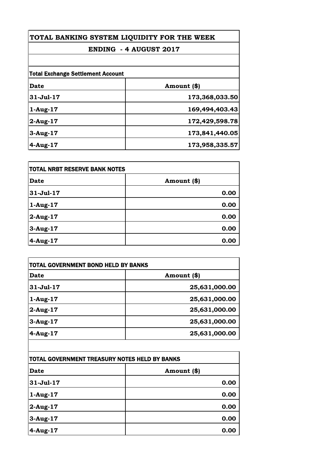# **ENDING - 4 AUGUST 2017**

| <b>Total Exchange Settlement Account</b> |                |
|------------------------------------------|----------------|
| Date                                     | Amount (\$)    |
| $31 - Jul - 17$                          | 173,368,033.50 |
| $1-Aug-17$                               | 169,494,403.43 |
| $2$ -Aug-17                              | 172,429,598.78 |
| $3-Aug-17$                               | 173,841,440.05 |
| $4-Aug-17$                               | 173,958,335.57 |

| <b>TOTAL NRBT RESERVE BANK NOTES</b> |             |
|--------------------------------------|-------------|
| <b>Date</b>                          | Amount (\$) |
| 31-Jul-17                            | 0.00        |
| $1-Aug-17$                           | 0.00        |
| $2$ -Aug-17                          | 0.00        |
| 3-Aug-17                             | 0.00        |
| $4$ -Aug-17                          | 0.00        |

| Amount (\$)   |
|---------------|
| 25,631,000.00 |
| 25,631,000.00 |
| 25,631,000.00 |
| 25,631,000.00 |
| 25,631,000.00 |
|               |
|               |

| TOTAL GOVERNMENT TREASURY NOTES HELD BY BANKS |             |
|-----------------------------------------------|-------------|
| Date                                          | Amount (\$) |
| $31-Jul-17$                                   | 0.00        |
| $1-Aug-17$                                    | 0.00        |
| $2$ -Aug-17                                   | 0.00        |
| $3-Aug-17$                                    | 0.00        |
| $4-Aug-17$                                    | 0.00        |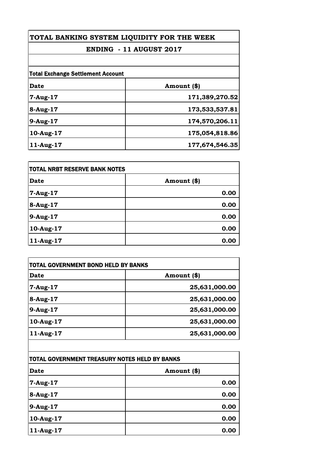# **ENDING - 11 AUGUST 2017**

| <b>Total Exchange Settlement Account</b> |                |
|------------------------------------------|----------------|
| Date                                     | Amount (\$)    |
| $7 - Aug - 17$                           | 171,389,270.52 |
| 8-Aug-17                                 | 173,533,537.81 |
| 9-Aug-17                                 | 174,570,206.11 |
| 10-Aug-17                                | 175,054,818.86 |
| 11-Aug-17                                | 177,674,546.35 |

| <b>TOTAL NRBT RESERVE BANK NOTES</b> |             |
|--------------------------------------|-------------|
| <b>Date</b>                          | Amount (\$) |
| 7-Aug-17                             | 0.00        |
| 8-Aug-17                             | 0.00        |
| 9-Aug-17                             | 0.00        |
| 10-Aug-17                            | 0.00        |
| 11-Aug-17                            | 0.00        |

| <b>TOTAL GOVERNMENT BOND HELD BY BANKS</b>    |               |
|-----------------------------------------------|---------------|
| <b>Date</b>                                   | Amount (\$)   |
| $7 - Aug - 17$                                | 25,631,000.00 |
| 8-Aug-17                                      | 25,631,000.00 |
| 9-Aug-17                                      | 25,631,000.00 |
| 10-Aug-17                                     | 25,631,000.00 |
| 11-Aug-17                                     | 25,631,000.00 |
|                                               |               |
| TOTAL GOVERNMENT TREASURY NOTES HELD BY BANKS |               |
| <b>Date</b>                                   | Amount (\$)   |
| $7 - Aug-17$                                  | 0.00          |
| $Q$ $A_{11}$ $\sim$ 17                        | מח ח          |

| $1.794 \times 11$ | v.vv |
|-------------------|------|
| 8-Aug-17          | 0.00 |
| $9-Aug-17$        | 0.00 |
| 10-Aug-17         | 0.00 |
| 11-Aug-17         | 0.00 |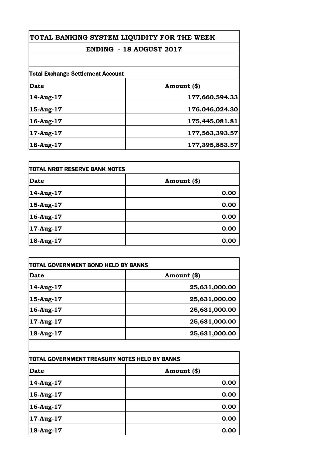# **ENDING - 18 AUGUST 2017**

| <b>Total Exchange Settlement Account</b> |                |
|------------------------------------------|----------------|
| Date                                     | Amount (\$)    |
| 14-Aug-17                                | 177,660,594.33 |
| 15-Aug-17                                | 176,046,024.30 |
| 16-Aug-17                                | 175,445,081.81 |
| 17-Aug-17                                | 177,563,393.57 |
| 18-Aug-17                                | 177,395,853.57 |

| <b>TOTAL NRBT RESERVE BANK NOTES</b> |             |
|--------------------------------------|-------------|
| <b>Date</b>                          | Amount (\$) |
| 14-Aug-17                            | 0.00        |
| 15-Aug-17                            | 0.00        |
| 16-Aug-17                            | 0.00        |
| 17-Aug-17                            | 0.00        |
| 18-Aug-17                            | 0.00        |

| <b>Date</b> | Amount (\$)   |
|-------------|---------------|
| 14-Aug-17   | 25,631,000.00 |
| 15-Aug-17   | 25,631,000.00 |
| 16-Aug-17   | 25,631,000.00 |
| 17-Aug-17   | 25,631,000.00 |
| 18-Aug-17   | 25,631,000.00 |

| TOTAL GOVERNMENT TREASURY NOTES HELD BY BANKS |             |
|-----------------------------------------------|-------------|
| Date                                          | Amount (\$) |
| 14-Aug-17                                     | 0.00        |
| 15-Aug-17                                     | 0.00        |
| 16-Aug-17                                     | 0.00        |
| 17-Aug-17                                     | 0.00        |
| 18-Aug-17                                     | 0.00        |